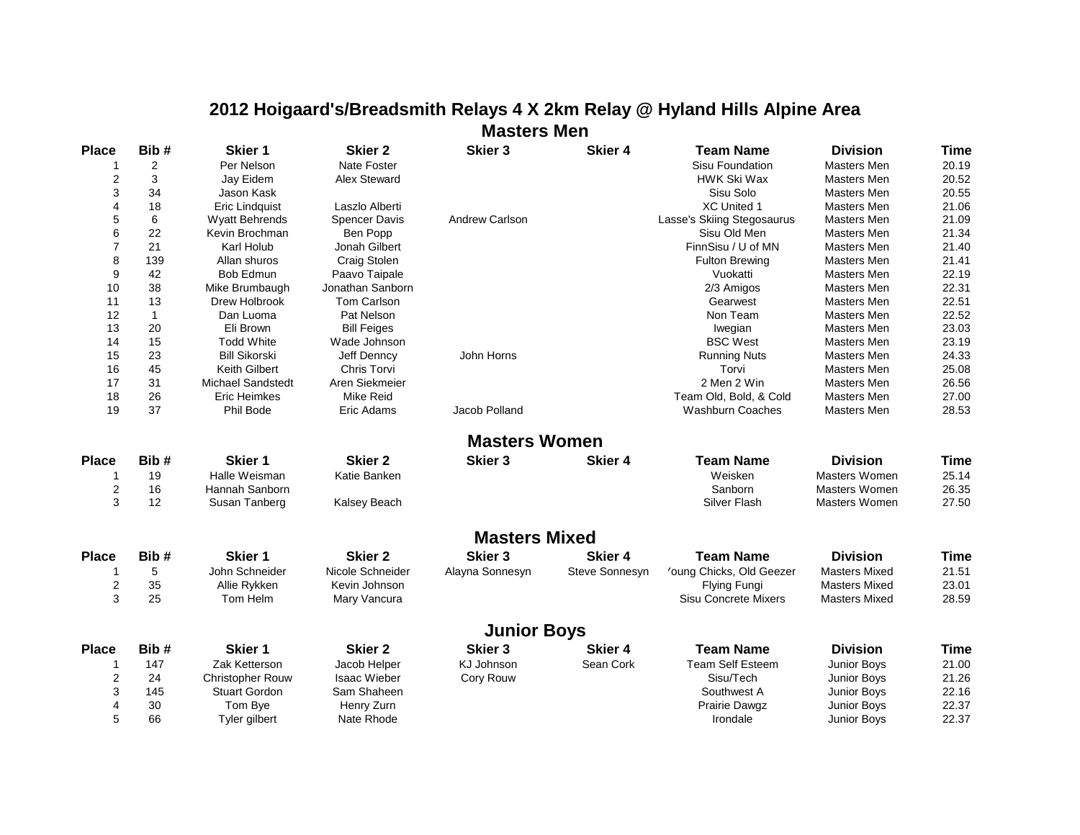## **2012 Hoigaard's/Breadsmith Relays 4 X 2km Relay @ Hyland Hills Alpine Area Masters Men**

| <b>Place</b>   | Bib#           | Skier 1               | <b>Skier 2</b>       | <b>Skier 3</b>        | Skier 4        | <b>Team Name</b>            | <b>Division</b>      | <b>Time</b> |
|----------------|----------------|-----------------------|----------------------|-----------------------|----------------|-----------------------------|----------------------|-------------|
|                | $\overline{2}$ | Per Nelson            | Nate Foster          |                       |                | Sisu Foundation             | Masters Men          | 20.19       |
| $\overline{2}$ | 3              | Jay Eidem             | Alex Steward         |                       |                | <b>HWK Ski Wax</b>          | Masters Men          | 20.52       |
| 3              | 34             | Jason Kask            |                      |                       |                | Sisu Solo                   | Masters Men          | 20.55       |
| 4              | 18             | Eric Lindquist        | Laszlo Alberti       |                       |                | <b>XC United 1</b>          | Masters Men          | 21.06       |
| 5              | 6              | <b>Wyatt Behrends</b> | <b>Spencer Davis</b> | <b>Andrew Carlson</b> |                | Lasse's Skiing Stegosaurus  | Masters Men          | 21.09       |
| 6              | 22             | Kevin Brochman        | Ben Popp             |                       |                | Sisu Old Men                | Masters Men          | 21.34       |
| $\overline{7}$ | 21             | Karl Holub            | Jonah Gilbert        |                       |                | FinnSisu / U of MN          | Masters Men          | 21.40       |
| 8              | 139            | Allan shuros          | Craig Stolen         |                       |                | Fulton Brewing              | Masters Men          | 21.41       |
| 9              | 42             | Bob Edmun             | Paavo Taipale        |                       |                | Vuokatti                    | Masters Men          | 22.19       |
| 10             | 38             | Mike Brumbaugh        | Jonathan Sanborn     |                       |                | 2/3 Amigos                  | Masters Men          | 22.31       |
| 11             | 13             | Drew Holbrook         | Tom Carlson          |                       |                | Gearwest                    | Masters Men          | 22.51       |
| 12             | $\mathbf{1}$   | Dan Luoma             | Pat Nelson           |                       |                | Non Team                    | Masters Men          | 22.52       |
| 13             | 20             | Eli Brown             | <b>Bill Feiges</b>   |                       |                | Iwegian                     | Masters Men          | 23.03       |
| 14             | 15             | <b>Todd White</b>     | Wade Johnson         |                       |                | <b>BSC West</b>             | Masters Men          | 23.19       |
| 15             | 23             | <b>Bill Sikorski</b>  | Jeff Denncy          | John Horns            |                | <b>Running Nuts</b>         | Masters Men          | 24.33       |
| 16             | 45             | Keith Gilbert         | <b>Chris Torvi</b>   |                       |                | Torvi                       | <b>Masters Men</b>   | 25.08       |
| 17             | 31             | Michael Sandstedt     | Aren Siekmeier       |                       |                | 2 Men 2 Win                 | Masters Men          | 26.56       |
| 18             | 26             | Eric Heimkes          | <b>Mike Reid</b>     |                       |                | Team Old, Bold, & Cold      | Masters Men          | 27.00       |
| 19             | 37             | Phil Bode             | Eric Adams           | Jacob Polland         |                | Washburn Coaches            | Masters Men          | 28.53       |
|                |                |                       |                      | <b>Masters Women</b>  |                |                             |                      |             |
| <b>Place</b>   | Bib#           | Skier 1               | <b>Skier 2</b>       | Skier <sub>3</sub>    | Skier 4        | <b>Team Name</b>            | <b>Division</b>      | Time        |
| 1              | 19             | Halle Weisman         | Katie Banken         |                       |                | Weisken                     | Masters Women        | 25.14       |
| $\overline{2}$ | 16             | Hannah Sanborn        |                      |                       |                | Sanborn                     | Masters Women        | 26.35       |
| 3              | 12             | Susan Tanberg         | Kalsey Beach         |                       |                | <b>Silver Flash</b>         | Masters Women        | 27.50       |
|                |                |                       |                      |                       |                |                             |                      |             |
|                |                |                       |                      | <b>Masters Mixed</b>  |                |                             |                      |             |
| <b>Place</b>   | Bib#           | Skier 1               | <b>Skier 2</b>       | Skier 3               | Skier 4        | <b>Team Name</b>            | <b>Division</b>      | <b>Time</b> |
| 1              | 5              | John Schneider        | Nicole Schneider     | Alayna Sonnesyn       | Steve Sonnesyn | 'oung Chicks, Old Geezer    | <b>Masters Mixed</b> | 21.51       |
| 2              | 35             | Allie Rykken          | Kevin Johnson        |                       |                | <b>Flying Fungi</b>         | <b>Masters Mixed</b> | 23.01       |
| 3              | 25             | Tom Helm              | Mary Vancura         |                       |                | <b>Sisu Concrete Mixers</b> | <b>Masters Mixed</b> | 28.59       |
|                |                |                       |                      | <b>Junior Boys</b>    |                |                             |                      |             |
| <b>Place</b>   | Bib#           | Skier 1               | <b>Skier 2</b>       | Skier <sub>3</sub>    | Skier 4        | <b>Team Name</b>            | <b>Division</b>      | <b>Time</b> |
|                | 147            | Zak Ketterson         | Jacob Helper         | <b>KJ Johnson</b>     | Sean Cork      | <b>Team Self Esteem</b>     | Junior Boys          | 21.00       |
| 2              | 24             | Christopher Rouw      | <b>Isaac Wieber</b>  | Cory Rouw             |                | Sisu/Tech                   | Junior Boys          | 21.26       |
| 3              | 145            | <b>Stuart Gordon</b>  | Sam Shaheen          |                       |                | Southwest A                 | Junior Boys          | 22.16       |
| $\overline{4}$ | 30             | Tom Bye               | Henry Zurn           |                       |                | Prairie Dawgz               | Junior Boys          | 22.37       |
| 5              | 66             | Tyler gilbert         | Nate Rhode           |                       |                | Irondale                    | Junior Boys          | 22.37       |
|                |                |                       |                      |                       |                |                             |                      |             |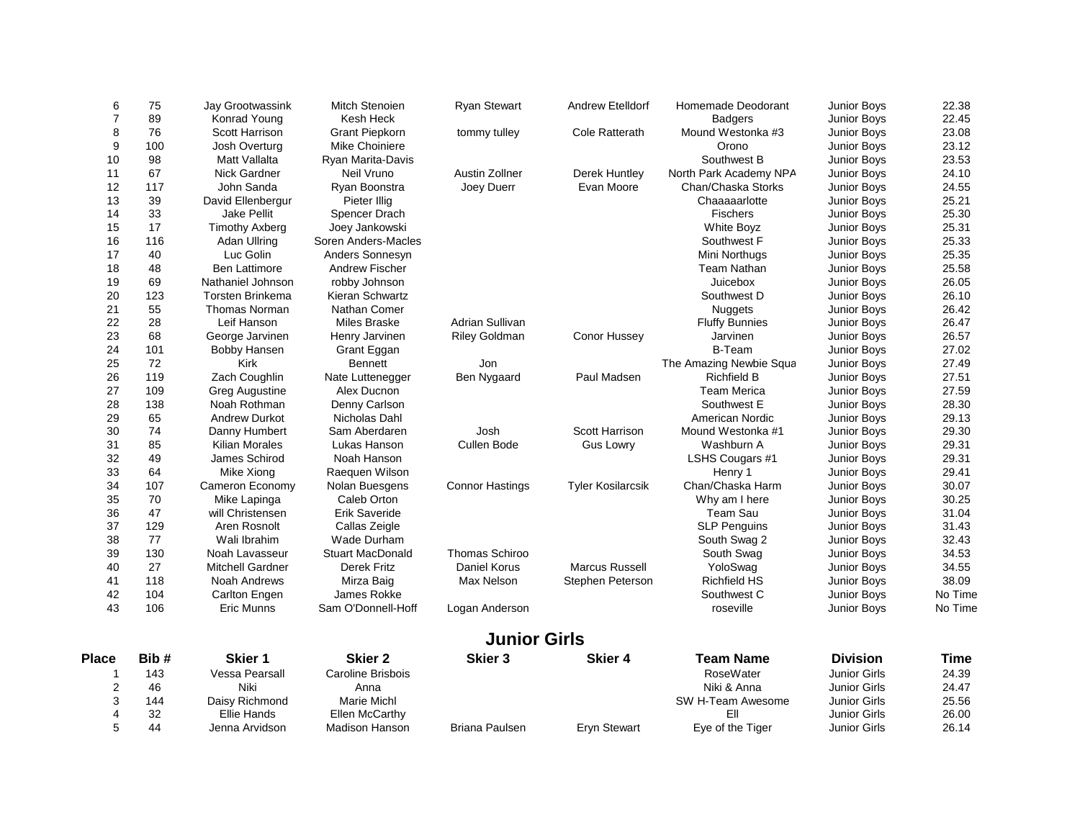| 6              | 75   | Jay Grootwassink        | <b>Mitch Stenoien</b>   | <b>Ryan Stewart</b>    | Andrew Etelldorf         | Homemade Deodorant      | Junior Boys         | 22.38   |
|----------------|------|-------------------------|-------------------------|------------------------|--------------------------|-------------------------|---------------------|---------|
| $\overline{7}$ | 89   | Konrad Young            | Kesh Heck               |                        |                          | <b>Badgers</b>          | Junior Boys         | 22.45   |
| 8              | 76   | <b>Scott Harrison</b>   | <b>Grant Piepkorn</b>   | tommy tulley           | <b>Cole Ratterath</b>    | Mound Westonka #3       | Junior Boys         | 23.08   |
| 9              | 100  | Josh Overturg           | Mike Choiniere          |                        |                          | Orono                   | Junior Boys         | 23.12   |
| 10             | 98   | Matt Vallalta           | Ryan Marita-Davis       |                        |                          | Southwest B             | Junior Boys         | 23.53   |
| 11             | 67   | Nick Gardner            | Neil Vruno              | Austin Zollner         | Derek Huntley            | North Park Academy NPA  | Junior Boys         | 24.10   |
| 12             | 117  | John Sanda              | Ryan Boonstra           | Joey Duerr             | Evan Moore               | Chan/Chaska Storks      | Junior Boys         | 24.55   |
| 13             | 39   | David Ellenbergur       | Pieter Illig            |                        |                          | Chaaaaarlotte           | Junior Boys         | 25.21   |
| 14             | 33   | <b>Jake Pellit</b>      | Spencer Drach           |                        |                          | <b>Fischers</b>         | Junior Boys         | 25.30   |
| 15             | 17   | <b>Timothy Axberg</b>   | Joey Jankowski          |                        |                          | <b>White Boyz</b>       | Junior Boys         | 25.31   |
| 16             | 116  | Adan Ullring            | Soren Anders-Macles     |                        |                          | Southwest F             | Junior Boys         | 25.33   |
| 17             | 40   | Luc Golin               | Anders Sonnesyn         |                        |                          | Mini Northugs           | Junior Boys         | 25.35   |
| 18             | 48   | <b>Ben Lattimore</b>    | Andrew Fischer          |                        |                          | <b>Team Nathan</b>      | Junior Boys         | 25.58   |
| 19             | 69   | Nathaniel Johnson       | robby Johnson           |                        |                          | Juicebox                | Junior Boys         | 26.05   |
| 20             | 123  | Torsten Brinkema        | Kieran Schwartz         |                        |                          | Southwest D             | Junior Boys         | 26.10   |
| 21             | 55   | Thomas Norman           | Nathan Comer            |                        |                          | <b>Nuggets</b>          | Junior Boys         | 26.42   |
| 22             | 28   | Leif Hanson             | Miles Braske            | <b>Adrian Sullivan</b> |                          | <b>Fluffy Bunnies</b>   | Junior Boys         | 26.47   |
| 23             | 68   | George Jarvinen         | Henry Jarvinen          | <b>Riley Goldman</b>   | Conor Hussey             | Jarvinen                | Junior Boys         | 26.57   |
| 24             | 101  | <b>Bobby Hansen</b>     | Grant Eggan             |                        |                          | <b>B-Team</b>           | Junior Boys         | 27.02   |
| 25             | 72   | Kirk                    | <b>Bennett</b>          | Jon                    |                          | The Amazing Newbie Squa | Junior Boys         | 27.49   |
| 26             | 119  | Zach Coughlin           | Nate Luttenegger        | Ben Nygaard            | Paul Madsen              | <b>Richfield B</b>      | Junior Boys         | 27.51   |
| 27             | 109  | <b>Greg Augustine</b>   | Alex Ducnon             |                        |                          | <b>Team Merica</b>      | Junior Boys         | 27.59   |
| 28             | 138  | Noah Rothman            | Denny Carlson           |                        |                          | Southwest E             | Junior Boys         | 28.30   |
| 29             | 65   | <b>Andrew Durkot</b>    | Nicholas Dahl           |                        |                          | American Nordic         | Junior Boys         | 29.13   |
| 30             | 74   | Danny Humbert           | Sam Aberdaren           | Josh                   | Scott Harrison           | Mound Westonka #1       | <b>Junior Boys</b>  | 29.30   |
| 31             | 85   | Kilian Morales          | Lukas Hanson            | Cullen Bode            | <b>Gus Lowry</b>         | Washburn A              | Junior Boys         | 29.31   |
| 32             | 49   | James Schirod           | Noah Hanson             |                        |                          | LSHS Cougars #1         | Junior Boys         | 29.31   |
| 33             | 64   | Mike Xiong              | Raequen Wilson          |                        |                          | Henry 1                 | Junior Boys         | 29.41   |
| 34             | 107  | Cameron Economy         | Nolan Buesgens          | <b>Connor Hastings</b> | <b>Tyler Kosilarcsik</b> | Chan/Chaska Harm        | Junior Boys         | 30.07   |
| 35             | 70   | Mike Lapinga            | Caleb Orton             |                        |                          | Why am I here           | Junior Boys         | 30.25   |
| 36             | 47   | will Christensen        | Erik Saveride           |                        |                          | Team Sau                | Junior Boys         | 31.04   |
| 37             | 129  | Aren Rosnolt            | Callas Zeigle           |                        |                          | <b>SLP Penguins</b>     | Junior Boys         | 31.43   |
| 38             | 77   | Wali Ibrahim            | <b>Wade Durham</b>      |                        |                          | South Swag 2            | Junior Boys         | 32.43   |
| 39             | 130  | Noah Lavasseur          | <b>Stuart MacDonald</b> | Thomas Schiroo         |                          | South Swag              | Junior Boys         | 34.53   |
| 40             | 27   | <b>Mitchell Gardner</b> | Derek Fritz             | Daniel Korus           | Marcus Russell           | YoloSwag                | <b>Junior Boys</b>  | 34.55   |
| 41             | 118  | Noah Andrews            | Mirza Baig              | Max Nelson             | Stephen Peterson         | <b>Richfield HS</b>     | Junior Boys         | 38.09   |
| 42             | 104  | Carlton Engen           | James Rokke             |                        |                          | Southwest C             | Junior Boys         | No Time |
| 43             | 106  | <b>Eric Munns</b>       | Sam O'Donnell-Hoff      | Logan Anderson         |                          | roseville               | Junior Boys         | No Time |
|                |      |                         |                         |                        |                          |                         |                     |         |
|                |      |                         |                         | <b>Junior Girls</b>    |                          |                         |                     |         |
| <b>Place</b>   | Bib# | Skier 1                 | <b>Skier 2</b>          | <b>Skier 3</b>         | <b>Skier 4</b>           | <b>Team Name</b>        | <b>Division</b>     | Time    |
| -1             | 143  | Vessa Pearsall          | Caroline Brisbois       |                        |                          | RoseWater               | Junior Girls        | 24.39   |
| 2              | 46   | Niki                    | Anna                    |                        |                          | Niki & Anna             | <b>Junior Girls</b> | 24.47   |
| 3              | 144  | Daisy Richmond          | <b>Marie Michl</b>      |                        |                          | SW H-Team Awesome       | <b>Junior Girls</b> | 25.56   |
| $\overline{4}$ | 32   | <b>Ellie Hands</b>      | Ellen McCarthy          |                        |                          | Ell                     | <b>Junior Girls</b> | 26.00   |
| 5              | 44   | Jenna Arvidson          | <b>Madison Hanson</b>   | <b>Briana Paulsen</b>  | <b>Eryn Stewart</b>      | Eye of the Tiger        | <b>Junior Girls</b> | 26.14   |
|                |      |                         |                         |                        |                          |                         |                     |         |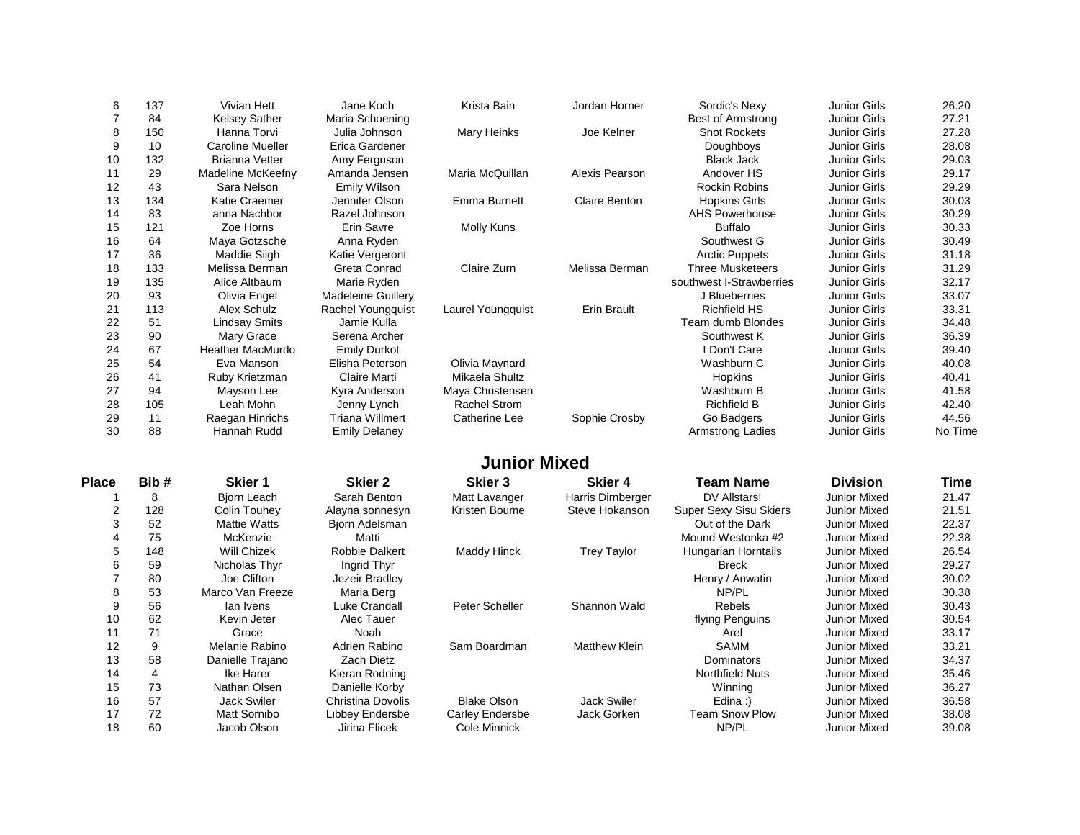| 6              | 137            | <b>Vivian Hett</b>      | Jane Koch                 | Krista Bain         | Jordan Horner        | Sordic's Nexy                 | <b>Junior Girls</b> | 26.20   |
|----------------|----------------|-------------------------|---------------------------|---------------------|----------------------|-------------------------------|---------------------|---------|
| $\overline{7}$ | 84             | <b>Kelsey Sather</b>    | Maria Schoening           |                     |                      | <b>Best of Armstrong</b>      | <b>Junior Girls</b> | 27.21   |
| 8              | 150            | Hanna Torvi             | Julia Johnson             | Mary Heinks         | Joe Kelner           | <b>Snot Rockets</b>           | <b>Junior Girls</b> | 27.28   |
| 9              | 10             | <b>Caroline Mueller</b> | Erica Gardener            |                     |                      | Doughboys                     | <b>Junior Girls</b> | 28.08   |
| 10             | 132            | <b>Brianna Vetter</b>   | Amy Ferguson              |                     |                      | <b>Black Jack</b>             | <b>Junior Girls</b> | 29.03   |
| 11             | 29             | Madeline McKeefny       | Amanda Jensen             | Maria McQuillan     | Alexis Pearson       | Andover HS                    | <b>Junior Girls</b> | 29.17   |
| 12             | 43             | Sara Nelson             | Emily Wilson              |                     |                      | <b>Rockin Robins</b>          | <b>Junior Girls</b> | 29.29   |
| 13             | 134            | <b>Katie Craemer</b>    | Jennifer Olson            | <b>Emma Burnett</b> | <b>Claire Benton</b> | <b>Hopkins Girls</b>          | <b>Junior Girls</b> | 30.03   |
| 14             | 83             | anna Nachbor            | Razel Johnson             |                     |                      | <b>AHS Powerhouse</b>         | <b>Junior Girls</b> | 30.29   |
| 15             | 121            | Zoe Horns               | Erin Savre                | Molly Kuns          |                      | <b>Buffalo</b>                | <b>Junior Girls</b> | 30.33   |
| 16             | 64             | Maya Gotzsche           | Anna Ryden                |                     |                      | Southwest G                   | <b>Junior Girls</b> | 30.49   |
| 17             | 36             | Maddie Siigh            | Katie Vergeront           |                     |                      | <b>Arctic Puppets</b>         | <b>Junior Girls</b> | 31.18   |
| 18             | 133            | Melissa Berman          | Greta Conrad              | Claire Zurn         | Melissa Berman       | <b>Three Musketeers</b>       | <b>Junior Girls</b> | 31.29   |
| 19             | 135            | Alice Altbaum           | Marie Ryden               |                     |                      | southwest I-Strawberries      | <b>Junior Girls</b> | 32.17   |
| 20             | 93             | Olivia Engel            | <b>Madeleine Guillery</b> |                     |                      | J Blueberries                 | <b>Junior Girls</b> | 33.07   |
| 21             | 113            | Alex Schulz             | Rachel Youngquist         | Laurel Youngquist   | <b>Erin Brault</b>   | <b>Richfield HS</b>           | <b>Junior Girls</b> | 33.31   |
| 22             | 51             | <b>Lindsay Smits</b>    | Jamie Kulla               |                     |                      | Team dumb Blondes             | <b>Junior Girls</b> | 34.48   |
| 23             | 90             | Mary Grace              | Serena Archer             |                     |                      | Southwest K                   | <b>Junior Girls</b> | 36.39   |
| 24             | 67             | Heather MacMurdo        | <b>Emily Durkot</b>       |                     |                      | I Don't Care                  | <b>Junior Girls</b> | 39.40   |
| 25             | 54             | Eva Manson              | Elisha Peterson           | Olivia Maynard      |                      | Washburn C                    | <b>Junior Girls</b> | 40.08   |
| 26             | 41             | Ruby Krietzman          | Claire Marti              | Mikaela Shultz      |                      | Hopkins                       | <b>Junior Girls</b> | 40.41   |
| 27             | 94             | Mayson Lee              | Kyra Anderson             | Maya Christensen    |                      | Washburn B                    | <b>Junior Girls</b> | 41.58   |
| 28             | 105            | Leah Mohn               | Jenny Lynch               | <b>Rachel Strom</b> |                      | <b>Richfield B</b>            | <b>Junior Girls</b> | 42.40   |
| 29             | 11             | Raegan Hinrichs         | <b>Triana Willmert</b>    | Catherine Lee       | Sophie Crosby        | Go Badgers                    | <b>Junior Girls</b> | 44.56   |
| 30             | 88             | Hannah Rudd             | <b>Emily Delaney</b>      |                     |                      | <b>Armstrong Ladies</b>       | <b>Junior Girls</b> | No Time |
|                |                |                         |                           | <b>Junior Mixed</b> |                      |                               |                     |         |
| <b>Place</b>   | Bib#           | <b>Skier 1</b>          | Skier <sub>2</sub>        | <b>Skier 3</b>      | <b>Skier 4</b>       | <b>Team Name</b>              | <b>Division</b>     | Time    |
| -1             | 8              | <b>Bjorn Leach</b>      | Sarah Benton              | Matt Lavanger       | Harris Dirnberger    | DV Allstars!                  | <b>Junior Mixed</b> | 21.47   |
| 2              | 128            | Colin Touhev            | Alayna sonnesyn           | Kristen Boume       | Steve Hokanson       | <b>Super Sexy Sisu Skiers</b> | <b>Junior Mixed</b> | 21.51   |
| 3              | 52             | <b>Mattie Watts</b>     | Bjorn Adelsman            |                     |                      | Out of the Dark               | Junior Mixed        | 22.37   |
| $\overline{4}$ | 75             | McKenzie                | Matti                     |                     |                      | Mound Westonka #2             | <b>Junior Mixed</b> | 22.38   |
| 5              | 148            | Will Chizek             | <b>Robbie Dalkert</b>     | <b>Maddy Hinck</b>  | <b>Trey Taylor</b>   | <b>Hungarian Horntails</b>    | <b>Junior Mixed</b> | 26.54   |
| 6              | 59             | Nicholas Thyr           | Ingrid Thyr               |                     |                      | <b>Breck</b>                  | <b>Junior Mixed</b> | 29.27   |
| $\overline{7}$ | 80             | Joe Clifton             | Jezeir Bradley            |                     |                      | Henry / Anwatin               | <b>Junior Mixed</b> | 30.02   |
| 8              | 53             | Marco Van Freeze        | Maria Berg                |                     |                      | NP/PL                         | <b>Junior Mixed</b> | 30.38   |
| 9              | 56             | lan Ivens               | Luke Crandall             | Peter Scheller      | Shannon Wald         | <b>Rebels</b>                 | <b>Junior Mixed</b> | 30.43   |
| 10             | 62             | Kevin Jeter             | Alec Tauer                |                     |                      | flying Penguins               | <b>Junior Mixed</b> | 30.54   |
| 11             | 71             | Grace                   | Noah                      |                     |                      | Arel                          | <b>Junior Mixed</b> | 33.17   |
| 12             | 9              | Melanie Rabino          | Adrien Rabino             | Sam Boardman        | <b>Matthew Klein</b> | <b>SAMM</b>                   | <b>Junior Mixed</b> | 33.21   |
| 13             | 58             | Danielle Trajano        | Zach Dietz                |                     |                      | Dominators                    | <b>Junior Mixed</b> | 34.37   |
| 14             | $\overline{4}$ | Ike Harer               | Kieran Rodning            |                     |                      | <b>Northfield Nuts</b>        | <b>Junior Mixed</b> | 35.46   |
| 15             | 73             | Nathan Olsen            | Danielle Korby            |                     |                      | Winning                       | <b>Junior Mixed</b> | 36.27   |
| 16             | 57             | <b>Jack Swiler</b>      | Christina Dovolis         | <b>Blake Olson</b>  | <b>Jack Swiler</b>   | Edina:)                       | <b>Junior Mixed</b> | 36.58   |
| 17             | 72             | Matt Sornibo            | Libbey Endersbe           | Carley Endersbe     | Jack Gorken          | <b>Team Snow Plow</b>         | <b>Junior Mixed</b> | 38.08   |
| 18             | 60             | Jacob Olson             | Jirina Flicek             | Cole Minnick        |                      | NP/PL                         | Junior Mixed        | 39.08   |